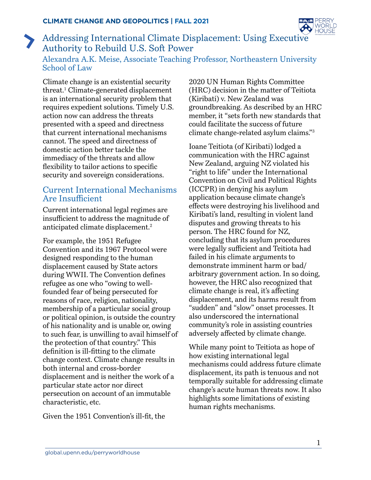

## <span id="page-0-0"></span>Addressing International Climate Displacement: Using Executive Authority to Rebuild U.S. Soft Power

Alexandra A.K. Meise, Associate Teaching Professor, Northeastern University School of Law

Climate change is an existential security threat.[1](#page-3-0) Climate-generated displacement is an international security problem that requires expedient solutions. Timely U.S. action now can address the threats presented with a speed and directness that current international mechanisms cannot. The speed and directness of domestic action better tackle the immediacy of the threats and allow flexibility to tailor actions to specific security and sovereign considerations.

#### Current International Mechanisms Are Insufficient

Current international legal regimes are insufficient to address the magnitude of anticipated climate displacement[.2](#page-3-0)

For example, the 1951 Refugee Convention and its 1967 Protocol were designed responding to the human displacement caused by State actors during WWII. The Convention defines refugee as one who "owing to wellfounded fear of being persecuted for reasons of race, religion, nationality, membership of a particular social group or political opinion, is outside the country of his nationality and is unable or, owing to such fear, is unwilling to avail himself of the protection of that country." This definition is ill-fitting to the climate change context. Climate change results in both internal and cross-border displacement and is neither the work of a particular state actor nor direct persecution on account of an immutable characteristic, etc.

Given the 1951 Convention's ill-fit, the

2020 UN Human Rights Committee (HRC) decision in the matter of Teitiota (Kiribati) v. New Zealand was groundbreaking. As described by an HRC member, it "sets forth new standards that could facilitate the success of future climate change-related asylum claims."[3](#page-3-0)

Ioane Teitiota (of Kiribati) lodged a communication with the HRC against New Zealand, arguing NZ violated his "right to life" under the International Convention on Civil and Political Rights (ICCPR) in denying his asylum application because climate change's effects were destroying his livelihood and Kiribati's land, resulting in violent land disputes and growing threats to his person. The HRC found for NZ, concluding that its asylum procedures were legally sufficient and Teitiota had failed in his climate arguments to demonstrate imminent harm or bad/ arbitrary government action. In so doing, however, the HRC also recognized that climate change is real, it's affecting displacement, and its harms result from "sudden" and "slow" onset processes. It also underscored the international community's role in assisting countries adversely affected by climate change.

While many point to Teitiota as hope of how existing international legal mechanisms could address future climate displacement, its path is tenuous and not temporally suitable for addressing climate change's acute human threats now. It also highlights some limitations of existing human rights mechanisms.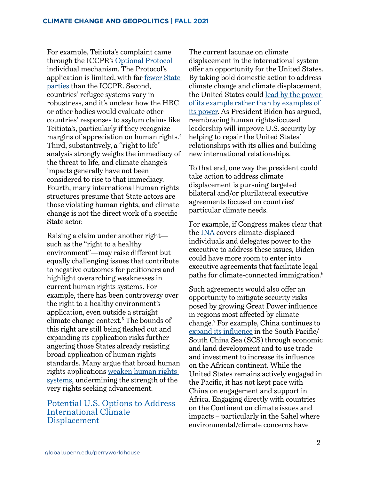<span id="page-1-0"></span>For example, Teitiota's complaint came through the ICCPR's [Optional Protocol](https://www.ohchr.org/en/professionalinterest/pages/opccpr1.aspx) individual mechanism. The Protocol's application is limited, with far [fewer State](https://treaties.un.org/Pages/ViewDetails.aspx?src=TREATY&mtdsg_no=IV-5&chapter=4)  [parties](https://treaties.un.org/Pages/ViewDetails.aspx?src=TREATY&mtdsg_no=IV-5&chapter=4) than the ICCPR. Second, countries' refugee systems vary in robustness, and it's unclear how the HRC or other bodies would evaluate other countries' responses to asylum claims like Teitiota's, particularly if they recognize margins of appreciation on human rights.[4](#page-3-0) Third, substantively, a "right to life" analysis strongly weighs the immediacy of the threat to life, and climate change's impacts generally have not been considered to rise to that immediacy. Fourth, many international human rights structures presume that State actors are those violating human rights, and climate change is not the direct work of a specific State actor.

Raising a claim under another right such as the "right to a healthy environment"—may raise different but equally challenging issues that contribute to negative outcomes for petitioners and highlight overarching weaknesses in current human rights systems. For example, there has been controversy over the right to a healthy environment's application, even outside a straight climate change context.[5](#page-3-0) The bounds of this right are still being fleshed out and expanding its application risks further angering those States already resisting broad application of human rights standards. Many argue that broad human rights applications [weaken human rights](https://www.europarl.europa.eu/RegData/etudes/STUD/2018/603865/EXPO_STU(2018)603865_EN.pdf)  [systems,](https://www.europarl.europa.eu/RegData/etudes/STUD/2018/603865/EXPO_STU(2018)603865_EN.pdf) undermining the strength of the very rights seeking advancement.

#### Potential U.S. Options to Address International Climate Displacement

The current lacunae on climate displacement in the international system offer an opportunity for the United States. By taking bold domestic action to address climate change and climate displacement, the United States could [lead by the power](https://www.wral.com/joe-biden-lead-not-by-example-of-power-but-power-of-our-example/19375665/)  [of its example rather than by examples of](https://www.wral.com/joe-biden-lead-not-by-example-of-power-but-power-of-our-example/19375665/)  [its power](https://www.wral.com/joe-biden-lead-not-by-example-of-power-but-power-of-our-example/19375665/). As President Biden has argued, reembracing human rights-focused leadership will improve U.S. security by helping to repair the United States' relationships with its allies and building new international relationships.

To that end, one way the president could take action to address climate displacement is pursuing targeted bilateral and/or plurilateral executive agreements focused on countries' particular climate needs.

For example, if Congress makes clear that the [INA](https://www.uscis.gov/laws-and-policy/legislation/immigration-and-nationality-act) covers climate-displaced individuals and delegates power to the executive to address these issues, Biden could have more room to enter into executive agreements that facilitate legal paths for climate-connected immigration. $^6$ 

Such agreements would also offer an opportunity to mitigate security risks posed by growing Great Power influence in regions most affected by climate change.[7](#page-3-0) For example, China continues to [expand its influence](https://www.cfr.org/blog/rising-tensions-south-china-sea) in the South Pacific/ South China Sea (SCS) through economic and land development and to use trade and investment to increase its influence on the African continent. While the United States remains actively engaged in the Pacific, it has not kept pace with China on engagement and support in Africa. Engaging directly with countries on the Continent on climate issues and impacts – particularly in the Sahel where environmental/climate concerns have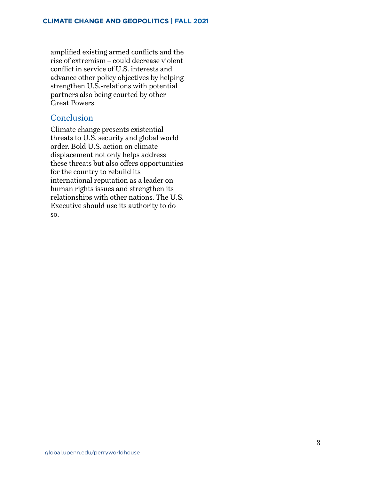amplified existing armed conflicts and the rise of extremism – could decrease violent conflict in service of U.S. interests and advance other policy objectives by helping strengthen U.S.-relations with potential partners also being courted by other Great Powers.

### Conclusion

Climate change presents existential threats to U.S. security and global world order. Bold U.S. action on climate displacement not only helps address these threats but also offers opportunities for the country to rebuild its international reputation as a leader on human rights issues and strengthen its relationships with other nations. The U.S. Executive should use its authority to do so.